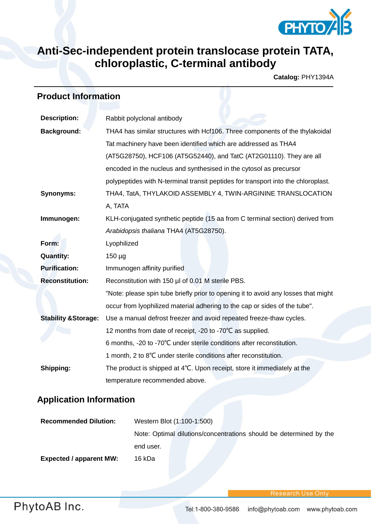

# **Anti-Sec-independent protein translocase protein TATA, chloroplastic, C-terminal antibody**

**Catalog:** PHY1394A

### **Product Information**

| <b>Description:</b>             | Rabbit polyclonal antibody                                                         |  |
|---------------------------------|------------------------------------------------------------------------------------|--|
| <b>Background:</b>              | THA4 has similar structures with Hcf106. Three components of the thylakoidal       |  |
|                                 | Tat machinery have been identified which are addressed as THA4                     |  |
|                                 | (AT5G28750), HCF106 (AT5G52440), and TatC (AT2G01110). They are all                |  |
|                                 | encoded in the nucleus and synthesised in the cytosol as precursor                 |  |
|                                 | polypeptides with N-terminal transit peptides for transport into the chloroplast.  |  |
| <b>Synonyms:</b>                | THA4, TatA, THYLAKOID ASSEMBLY 4, TWIN-ARGININE TRANSLOCATION                      |  |
|                                 | A, TATA                                                                            |  |
| Immunogen:                      | KLH-conjugated synthetic peptide (15 aa from C terminal section) derived from      |  |
|                                 | Arabidopsis thaliana THA4 (AT5G28750).                                             |  |
| Form:                           | Lyophilized                                                                        |  |
| <b>Quantity:</b>                | $150 \mu g$                                                                        |  |
| <b>Purification:</b>            | Immunogen affinity purified                                                        |  |
| <b>Reconstitution:</b>          | Reconstitution with 150 µl of 0.01 M sterile PBS.                                  |  |
|                                 | "Note: please spin tube briefly prior to opening it to avoid any losses that might |  |
|                                 | occur from lyophilized material adhering to the cap or sides of the tube".         |  |
| <b>Stability &amp; Storage:</b> | Use a manual defrost freezer and avoid repeated freeze-thaw cycles.                |  |
|                                 | 12 months from date of receipt, -20 to -70°C as supplied.                          |  |
|                                 | 6 months, -20 to -70°C under sterile conditions after reconstitution.              |  |
|                                 | 1 month, 2 to 8°C under sterile conditions after reconstitution.                   |  |
| Shipping:                       | The product is shipped at 4°C. Upon receipt, store it immediately at the           |  |
|                                 | temperature recommended above.                                                     |  |

## **Application Information**

| <b>Recommended Dilution:</b>   | Western Blot (1:100-1:500)                                         |
|--------------------------------|--------------------------------------------------------------------|
|                                | Note: Optimal dilutions/concentrations should be determined by the |
|                                | end user.                                                          |
| <b>Expected / apparent MW:</b> | 16 kDa                                                             |

search Use On